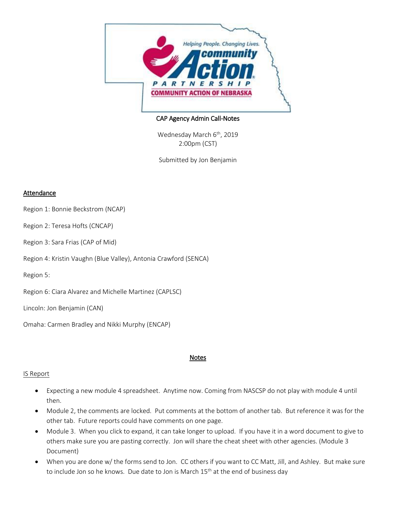

## CAP Agency Admin Call-Notes

Wednesday March 6<sup>th</sup>, 2019 2:00pm (CST)

Submitted by Jon Benjamin

## **Attendance**

- Region 1: Bonnie Beckstrom (NCAP)
- Region 2: Teresa Hofts (CNCAP)
- Region 3: Sara Frias (CAP of Mid)
- Region 4: Kristin Vaughn (Blue Valley), Antonia Crawford (SENCA)

Region 5:

Region 6: Ciara Alvarez and Michelle Martinez (CAPLSC)

Lincoln: Jon Benjamin (CAN)

Omaha: Carmen Bradley and Nikki Murphy (ENCAP)

#### Notes

#### IS Report

- Expecting a new module 4 spreadsheet. Anytime now. Coming from NASCSP do not play with module 4 until then.
- Module 2, the comments are locked. Put comments at the bottom of another tab. But reference it was for the other tab. Future reports could have comments on one page.
- Module 3. When you click to expand, it can take longer to upload. If you have it in a word document to give to others make sure you are pasting correctly. Jon will share the cheat sheet with other agencies. (Module 3 Document)
- When you are done w/ the forms send to Jon. CC others if you want to CC Matt, Jill, and Ashley. But make sure to include Jon so he knows. Due date to Jon is March 15<sup>th</sup> at the end of business day